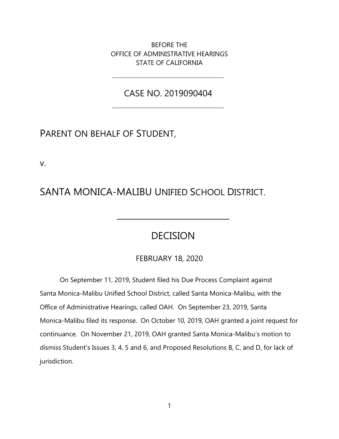BEFORE THE OFFICE OF ADMINISTRATIVE HEARINGS STATE OF CALIFORNIA

CASE NO. 2019090404

## PARENT ON BEHALF OF STUDENT,

v.

## SANTA MONICA-MALIBU UNIFIED SCHOOL DISTRICT.

## **DECISION**

### FEBRUARY 18, 2020

On September 11, 2019, Student filed his Due Process Complaint against Santa Monica-Malibu Unified School District, called Santa Monica-Malibu, with the Office of Administrative Hearings, called OAH. On September 23, 2019, Santa Monica-Malibu filed its response. On October 10, 2019, OAH granted a joint request for continuance. On November 21, 2019, OAH granted Santa Monica-Malibu's motion to dismiss Student's Issues 3, 4, 5 and 6, and Proposed Resolutions B, C, and D, for lack of jurisdiction.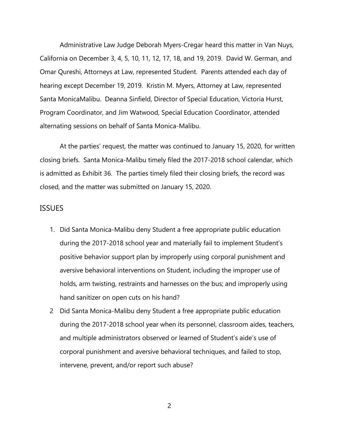Administrative Law Judge Deborah Myers-Cregar heard this matter in Van Nuys, California on December 3, 4, 5, 10, 11, 12, 17, 18, and 19, 2019. David W. German, and Omar Qureshi, Attorneys at Law, represented Student. Parents attended each day of hearing except December 19, 2019. Kristin M. Myers, Attorney at Law, represented Santa MonicaMalibu. Deanna Sinfield, Director of Special Education, Victoria Hurst, Program Coordinator, and Jim Watwood, Special Education Coordinator, attended alternating sessions on behalf of Santa Monica-Malibu.

At the parties' request, the matter was continued to January 15, 2020, for written closing briefs. Santa Monica-Malibu timely filed the 2017-2018 school calendar, which is admitted as Exhibit 36. The parties timely filed their closing briefs, the record was closed, and the matter was submitted on January 15, 2020.

#### **ISSUES**

- 1. Did Santa Monica-Malibu deny Student a free appropriate public education during the 2017-2018 school year and materially fail to implement Student's positive behavior support plan by improperly using corporal punishment and aversive behavioral interventions on Student, including the improper use of holds, arm twisting, restraints and harnesses on the bus; and improperly using hand sanitizer on open cuts on his hand?
- 2 Did Santa Monica-Malibu deny Student a free appropriate public education during the 2017-2018 school year when its personnel, classroom aides, teachers, and multiple administrators observed or learned of Student's aide's use of corporal punishment and aversive behavioral techniques, and failed to stop, intervene, prevent, and/or report such abuse?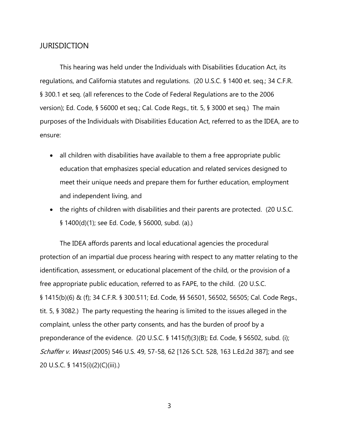#### **JURISDICTION**

This hearing was held under the Individuals with Disabilities Education Act, its regulations, and California statutes and regulations. (20 U.S.C. § 1400 et. seq.; 34 C.F.R. § 300.1 et seq. (all references to the Code of Federal Regulations are to the 2006 version); Ed. Code, § 56000 et seq.; Cal. Code Regs., tit. 5, § 3000 et seq.) The main purposes of the Individuals with Disabilities Education Act, referred to as the IDEA, are to ensure:

- all children with disabilities have available to them a free appropriate public education that emphasizes special education and related services designed to meet their unique needs and prepare them for further education, employment and independent living, and
- the rights of children with disabilities and their parents are protected. (20 U.S.C. § 1400(d)(1); see Ed. Code, § 56000, subd. (a).)

The IDEA affords parents and local educational agencies the procedural protection of an impartial due process hearing with respect to any matter relating to the identification, assessment, or educational placement of the child, or the provision of a free appropriate public education, referred to as FAPE, to the child. (20 U.S.C. § 1415(b)(6) & (f); 34 C.F.R. § 300.511; Ed. Code, §§ 56501, 56502, 56505; Cal. Code Regs., tit. 5, § 3082.) The party requesting the hearing is limited to the issues alleged in the complaint, unless the other party consents, and has the burden of proof by a preponderance of the evidence. (20 U.S.C. § 1415(f)(3)(B); Ed. Code, § 56502, subd. (i); Schaffer v. Weast (2005) 546 U.S. 49, 57-58, 62 [126 S.Ct. 528, 163 L.Ed.2d 387]; and see 20 U.S.C. § 1415(i)(2)(C)(iii).)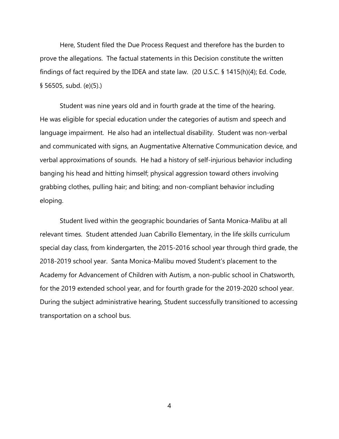Here, Student filed the Due Process Request and therefore has the burden to prove the allegations. The factual statements in this Decision constitute the written findings of fact required by the IDEA and state law. (20 U.S.C. § 1415(h)(4); Ed. Code, § 56505, subd. (e)(5).)

Student was nine years old and in fourth grade at the time of the hearing. He was eligible for special education under the categories of autism and speech and language impairment. He also had an intellectual disability. Student was non-verbal and communicated with signs, an Augmentative Alternative Communication device, and verbal approximations of sounds. He had a history of self-injurious behavior including banging his head and hitting himself; physical aggression toward others involving grabbing clothes, pulling hair; and biting; and non-compliant behavior including eloping.

Student lived within the geographic boundaries of Santa Monica-Malibu at all relevant times. Student attended Juan Cabrillo Elementary, in the life skills curriculum special day class, from kindergarten, the 2015-2016 school year through third grade, the 2018-2019 school year. Santa Monica-Malibu moved Student's placement to the Academy for Advancement of Children with Autism, a non-public school in Chatsworth, for the 2019 extended school year, and for fourth grade for the 2019-2020 school year. During the subject administrative hearing, Student successfully transitioned to accessing transportation on a school bus.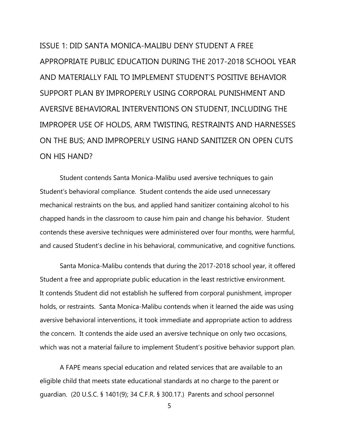ISSUE 1: DID SANTA MONICA-MALIBU DENY STUDENT A FREE APPROPRIATE PUBLIC EDUCATION DURING THE 2017-2018 SCHOOL YEAR AND MATERIALLY FAIL TO IMPLEMENT STUDENT'S POSITIVE BEHAVIOR SUPPORT PLAN BY IMPROPERLY USING CORPORAL PUNISHMENT AND AVERSIVE BEHAVIORAL INTERVENTIONS ON STUDENT, INCLUDING THE IMPROPER USE OF HOLDS, ARM TWISTING, RESTRAINTS AND HARNESSES ON THE BUS; AND IMPROPERLY USING HAND SANITIZER ON OPEN CUTS ON HIS HAND?

Student contends Santa Monica-Malibu used aversive techniques to gain Student's behavioral compliance. Student contends the aide used unnecessary mechanical restraints on the bus, and applied hand sanitizer containing alcohol to his chapped hands in the classroom to cause him pain and change his behavior. Student contends these aversive techniques were administered over four months, were harmful, and caused Student's decline in his behavioral, communicative, and cognitive functions.

Santa Monica-Malibu contends that during the 2017-2018 school year, it offered Student a free and appropriate public education in the least restrictive environment. It contends Student did not establish he suffered from corporal punishment, improper holds, or restraints. Santa Monica-Malibu contends when it learned the aide was using aversive behavioral interventions, it took immediate and appropriate action to address the concern. It contends the aide used an aversive technique on only two occasions, which was not a material failure to implement Student's positive behavior support plan.

A FAPE means special education and related services that are available to an eligible child that meets state educational standards at no charge to the parent or guardian. (20 U.S.C. § 1401(9); 34 C.F.R. § 300.17.) Parents and school personnel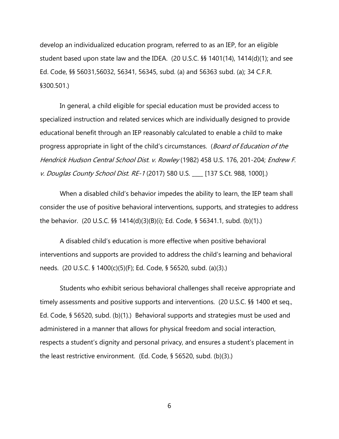develop an individualized education program, referred to as an IEP, for an eligible student based upon state law and the IDEA. (20 U.S.C. §§ 1401(14), 1414(d)(1); and see Ed. Code, §§ 56031,56032, 56341, 56345, subd. (a) and 56363 subd. (a); 34 C.F.R. §300.501.)

In general, a child eligible for special education must be provided access to specialized instruction and related services which are individually designed to provide educational benefit through an IEP reasonably calculated to enable a child to make progress appropriate in light of the child's circumstances. (Board of Education of the Hendrick Hudson Central School Dist. v. Rowley (1982) 458 U.S. 176, 201-204; Endrew F. v. Douglas County School Dist. RE-1 (2017) 580 U.S. \_\_\_ [137 S.Ct. 988, 1000].)

When a disabled child's behavior impedes the ability to learn, the IEP team shall consider the use of positive behavioral interventions, supports, and strategies to address the behavior. (20 U.S.C. §§ 1414(d)(3)(B)(i); Ed. Code, § 56341.1, subd. (b)(1).)

A disabled child's education is more effective when positive behavioral interventions and supports are provided to address the child's learning and behavioral needs. (20 U.S.C. § 1400(c)(5)(F); Ed. Code, § 56520, subd. (a)(3).)

Students who exhibit serious behavioral challenges shall receive appropriate and timely assessments and positive supports and interventions. (20 U.S.C. §§ 1400 et seq., Ed. Code, § 56520, subd. (b)(1).) Behavioral supports and strategies must be used and administered in a manner that allows for physical freedom and social interaction, respects a student's dignity and personal privacy, and ensures a student's placement in the least restrictive environment. (Ed. Code, § 56520, subd. (b)(3).)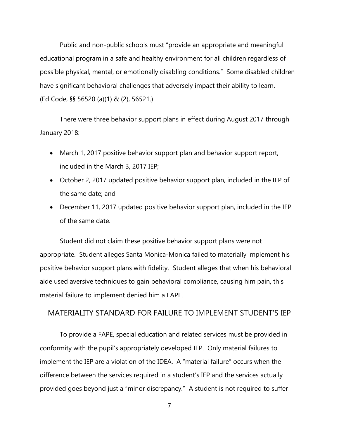Public and non-public schools must "provide an appropriate and meaningful educational program in a safe and healthy environment for all children regardless of possible physical, mental, or emotionally disabling conditions." Some disabled children have significant behavioral challenges that adversely impact their ability to learn. (Ed Code, §§ 56520 (a)(1) & (2), 56521.)

There were three behavior support plans in effect during August 2017 through January 2018:

- March 1, 2017 positive behavior support plan and behavior support report, included in the March 3, 2017 IEP;
- October 2, 2017 updated positive behavior support plan, included in the IEP of the same date; and
- December 11, 2017 updated positive behavior support plan, included in the IEP of the same date.

Student did not claim these positive behavior support plans were not appropriate. Student alleges Santa Monica-Monica failed to materially implement his positive behavior support plans with fidelity. Student alleges that when his behavioral aide used aversive techniques to gain behavioral compliance, causing him pain, this material failure to implement denied him a FAPE.

### MATERIALITY STANDARD FOR FAILURE TO IMPLEMENT STUDENT'S IEP

To provide a FAPE, special education and related services must be provided in conformity with the pupil's appropriately developed IEP. Only material failures to implement the IEP are a violation of the IDEA. A "material failure" occurs when the difference between the services required in a student's IEP and the services actually provided goes beyond just a "minor discrepancy." A student is not required to suffer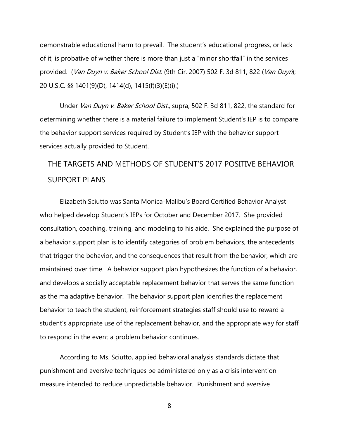demonstrable educational harm to prevail. The student's educational progress, or lack of it, is probative of whether there is more than just a "minor shortfall" in the services provided. (Van Duyn v. Baker School Dist. (9th Cir. 2007) 502 F. 3d 811, 822 (Van Duyn); 20 U.S.C. §§ 1401(9)(D), 1414(d), 1415(f)(3)(E)(i).)

Under Van Duyn v. Baker School Dist., supra, 502 F. 3d 811, 822, the standard for determining whether there is a material failure to implement Student's IEP is to compare the behavior support services required by Student's IEP with the behavior support services actually provided to Student.

# THE TARGETS AND METHODS OF STUDENT'S 2017 POSITIVE BEHAVIOR SUPPORT PLANS

Elizabeth Sciutto was Santa Monica-Malibu's Board Certified Behavior Analyst who helped develop Student's IEPs for October and December 2017. She provided consultation, coaching, training, and modeling to his aide. She explained the purpose of a behavior support plan is to identify categories of problem behaviors, the antecedents that trigger the behavior, and the consequences that result from the behavior, which are maintained over time. A behavior support plan hypothesizes the function of a behavior, and develops a socially acceptable replacement behavior that serves the same function as the maladaptive behavior. The behavior support plan identifies the replacement behavior to teach the student, reinforcement strategies staff should use to reward a student's appropriate use of the replacement behavior, and the appropriate way for staff to respond in the event a problem behavior continues.

According to Ms. Sciutto, applied behavioral analysis standards dictate that punishment and aversive techniques be administered only as a crisis intervention measure intended to reduce unpredictable behavior. Punishment and aversive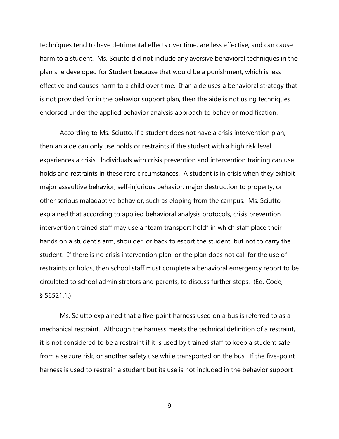techniques tend to have detrimental effects over time, are less effective, and can cause harm to a student. Ms. Sciutto did not include any aversive behavioral techniques in the plan she developed for Student because that would be a punishment, which is less effective and causes harm to a child over time. If an aide uses a behavioral strategy that is not provided for in the behavior support plan, then the aide is not using techniques endorsed under the applied behavior analysis approach to behavior modification.

According to Ms. Sciutto, if a student does not have a crisis intervention plan, then an aide can only use holds or restraints if the student with a high risk level experiences a crisis. Individuals with crisis prevention and intervention training can use holds and restraints in these rare circumstances. A student is in crisis when they exhibit major assaultive behavior, self-injurious behavior, major destruction to property, or other serious maladaptive behavior, such as eloping from the campus. Ms. Sciutto explained that according to applied behavioral analysis protocols, crisis prevention intervention trained staff may use a "team transport hold" in which staff place their hands on a student's arm, shoulder, or back to escort the student, but not to carry the student. If there is no crisis intervention plan, or the plan does not call for the use of restraints or holds, then school staff must complete a behavioral emergency report to be circulated to school administrators and parents, to discuss further steps. (Ed. Code, § 56521.1.)

Ms. Sciutto explained that a five-point harness used on a bus is referred to as a mechanical restraint. Although the harness meets the technical definition of a restraint, it is not considered to be a restraint if it is used by trained staff to keep a student safe from a seizure risk, or another safety use while transported on the bus. If the five-point harness is used to restrain a student but its use is not included in the behavior support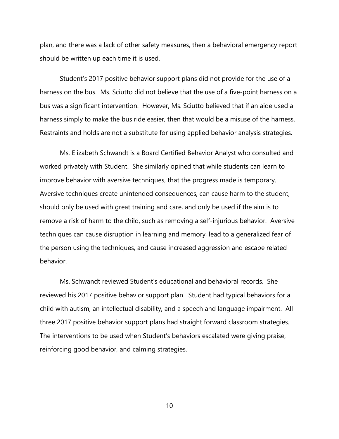plan, and there was a lack of other safety measures, then a behavioral emergency report should be written up each time it is used.

Student's 2017 positive behavior support plans did not provide for the use of a harness on the bus. Ms. Sciutto did not believe that the use of a five-point harness on a bus was a significant intervention. However, Ms. Sciutto believed that if an aide used a harness simply to make the bus ride easier, then that would be a misuse of the harness. Restraints and holds are not a substitute for using applied behavior analysis strategies.

Ms. Elizabeth Schwandt is a Board Certified Behavior Analyst who consulted and worked privately with Student. She similarly opined that while students can learn to improve behavior with aversive techniques, that the progress made is temporary. Aversive techniques create unintended consequences, can cause harm to the student, should only be used with great training and care, and only be used if the aim is to remove a risk of harm to the child, such as removing a self-injurious behavior. Aversive techniques can cause disruption in learning and memory, lead to a generalized fear of the person using the techniques, and cause increased aggression and escape related behavior.

Ms. Schwandt reviewed Student's educational and behavioral records. She reviewed his 2017 positive behavior support plan. Student had typical behaviors for a child with autism, an intellectual disability, and a speech and language impairment. All three 2017 positive behavior support plans had straight forward classroom strategies. The interventions to be used when Student's behaviors escalated were giving praise, reinforcing good behavior, and calming strategies.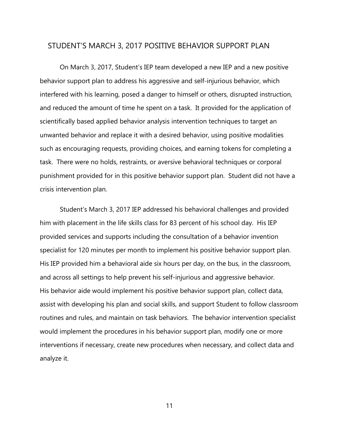#### STUDENT'S MARCH 3, 2017 POSITIVE BEHAVIOR SUPPORT PLAN

On March 3, 2017, Student's IEP team developed a new IEP and a new positive behavior support plan to address his aggressive and self-injurious behavior, which interfered with his learning, posed a danger to himself or others, disrupted instruction, and reduced the amount of time he spent on a task. It provided for the application of scientifically based applied behavior analysis intervention techniques to target an unwanted behavior and replace it with a desired behavior, using positive modalities such as encouraging requests, providing choices, and earning tokens for completing a task. There were no holds, restraints, or aversive behavioral techniques or corporal punishment provided for in this positive behavior support plan. Student did not have a crisis intervention plan.

Student's March 3, 2017 IEP addressed his behavioral challenges and provided him with placement in the life skills class for 83 percent of his school day. His IEP provided services and supports including the consultation of a behavior invention specialist for 120 minutes per month to implement his positive behavior support plan. His IEP provided him a behavioral aide six hours per day, on the bus, in the classroom, and across all settings to help prevent his self-injurious and aggressive behavior. His behavior aide would implement his positive behavior support plan, collect data, assist with developing his plan and social skills, and support Student to follow classroom routines and rules, and maintain on task behaviors. The behavior intervention specialist would implement the procedures in his behavior support plan, modify one or more interventions if necessary, create new procedures when necessary, and collect data and analyze it.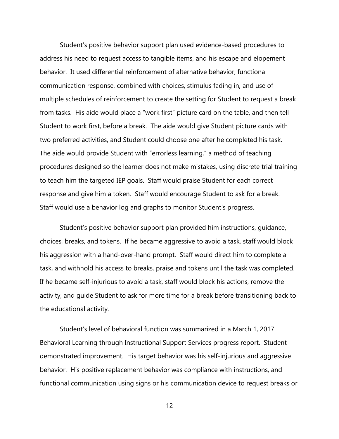Student's positive behavior support plan used evidence-based procedures to address his need to request access to tangible items, and his escape and elopement behavior. It used differential reinforcement of alternative behavior, functional communication response, combined with choices, stimulus fading in, and use of multiple schedules of reinforcement to create the setting for Student to request a break from tasks. His aide would place a "work first" picture card on the table, and then tell Student to work first, before a break. The aide would give Student picture cards with two preferred activities, and Student could choose one after he completed his task. The aide would provide Student with "errorless learning," a method of teaching procedures designed so the learner does not make mistakes, using discrete trial training to teach him the targeted IEP goals. Staff would praise Student for each correct response and give him a token. Staff would encourage Student to ask for a break. Staff would use a behavior log and graphs to monitor Student's progress.

Student's positive behavior support plan provided him instructions, guidance, choices, breaks, and tokens. If he became aggressive to avoid a task, staff would block his aggression with a hand-over-hand prompt. Staff would direct him to complete a task, and withhold his access to breaks, praise and tokens until the task was completed. If he became self-injurious to avoid a task, staff would block his actions, remove the activity, and guide Student to ask for more time for a break before transitioning back to the educational activity.

Student's level of behavioral function was summarized in a March 1, 2017 Behavioral Learning through Instructional Support Services progress report. Student demonstrated improvement. His target behavior was his self-injurious and aggressive behavior. His positive replacement behavior was compliance with instructions, and functional communication using signs or his communication device to request breaks or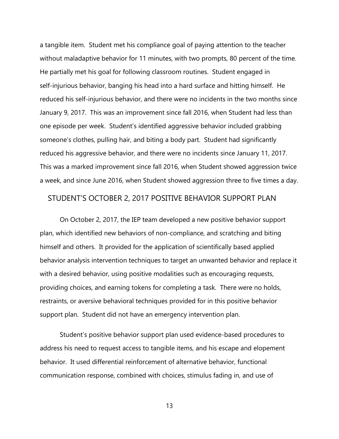a tangible item. Student met his compliance goal of paying attention to the teacher without maladaptive behavior for 11 minutes, with two prompts, 80 percent of the time. He partially met his goal for following classroom routines. Student engaged in self-injurious behavior, banging his head into a hard surface and hitting himself. He reduced his self-injurious behavior, and there were no incidents in the two months since January 9, 2017. This was an improvement since fall 2016, when Student had less than one episode per week. Student's identified aggressive behavior included grabbing someone's clothes, pulling hair, and biting a body part. Student had significantly reduced his aggressive behavior, and there were no incidents since January 11, 2017. This was a marked improvement since fall 2016, when Student showed aggression twice a week, and since June 2016, when Student showed aggression three to five times a day.

#### STUDENT'S OCTOBER 2, 2017 POSITIVE BEHAVIOR SUPPORT PLAN

On October 2, 2017, the IEP team developed a new positive behavior support plan, which identified new behaviors of non-compliance, and scratching and biting himself and others. It provided for the application of scientifically based applied behavior analysis intervention techniques to target an unwanted behavior and replace it with a desired behavior, using positive modalities such as encouraging requests, providing choices, and earning tokens for completing a task. There were no holds, restraints, or aversive behavioral techniques provided for in this positive behavior support plan. Student did not have an emergency intervention plan.

Student's positive behavior support plan used evidence-based procedures to address his need to request access to tangible items, and his escape and elopement behavior. It used differential reinforcement of alternative behavior, functional communication response, combined with choices, stimulus fading in, and use of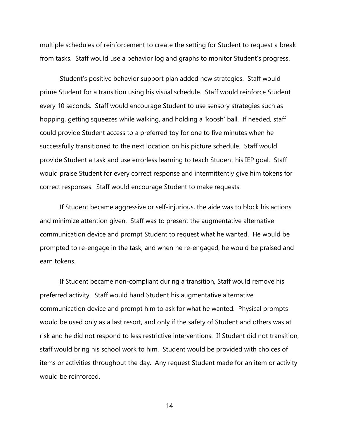multiple schedules of reinforcement to create the setting for Student to request a break from tasks. Staff would use a behavior log and graphs to monitor Student's progress.

Student's positive behavior support plan added new strategies. Staff would prime Student for a transition using his visual schedule. Staff would reinforce Student every 10 seconds. Staff would encourage Student to use sensory strategies such as hopping, getting squeezes while walking, and holding a 'koosh' ball. If needed, staff could provide Student access to a preferred toy for one to five minutes when he successfully transitioned to the next location on his picture schedule. Staff would provide Student a task and use errorless learning to teach Student his IEP goal. Staff would praise Student for every correct response and intermittently give him tokens for correct responses. Staff would encourage Student to make requests.

If Student became aggressive or self-injurious, the aide was to block his actions and minimize attention given. Staff was to present the augmentative alternative communication device and prompt Student to request what he wanted. He would be prompted to re-engage in the task, and when he re-engaged, he would be praised and earn tokens.

If Student became non-compliant during a transition, Staff would remove his preferred activity. Staff would hand Student his augmentative alternative communication device and prompt him to ask for what he wanted. Physical prompts would be used only as a last resort, and only if the safety of Student and others was at risk and he did not respond to less restrictive interventions. If Student did not transition, staff would bring his school work to him. Student would be provided with choices of items or activities throughout the day. Any request Student made for an item or activity would be reinforced.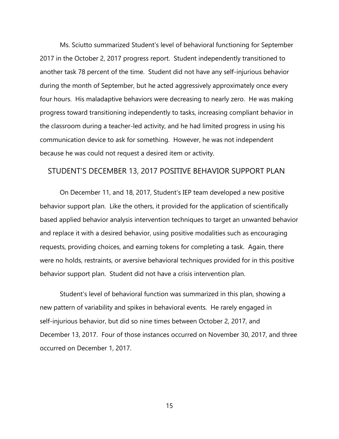Ms. Sciutto summarized Student's level of behavioral functioning for September 2017 in the October 2, 2017 progress report. Student independently transitioned to another task 78 percent of the time. Student did not have any self-injurious behavior during the month of September, but he acted aggressively approximately once every four hours. His maladaptive behaviors were decreasing to nearly zero. He was making progress toward transitioning independently to tasks, increasing compliant behavior in the classroom during a teacher-led activity, and he had limited progress in using his communication device to ask for something. However, he was not independent because he was could not request a desired item or activity.

#### STUDENT'S DECEMBER 13, 2017 POSITIVE BEHAVIOR SUPPORT PLAN

On December 11, and 18, 2017, Student's IEP team developed a new positive behavior support plan. Like the others, it provided for the application of scientifically based applied behavior analysis intervention techniques to target an unwanted behavior and replace it with a desired behavior, using positive modalities such as encouraging requests, providing choices, and earning tokens for completing a task. Again, there were no holds, restraints, or aversive behavioral techniques provided for in this positive behavior support plan. Student did not have a crisis intervention plan.

Student's level of behavioral function was summarized in this plan, showing a new pattern of variability and spikes in behavioral events. He rarely engaged in self-injurious behavior, but did so nine times between October 2, 2017, and December 13, 2017. Four of those instances occurred on November 30, 2017, and three occurred on December 1, 2017.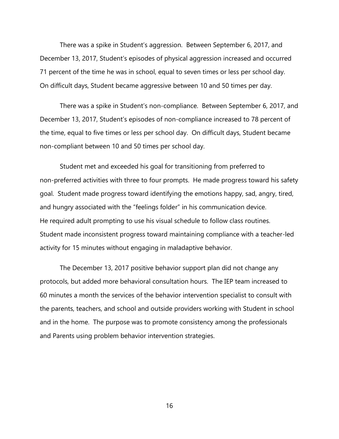There was a spike in Student's aggression. Between September 6, 2017, and December 13, 2017, Student's episodes of physical aggression increased and occurred 71 percent of the time he was in school, equal to seven times or less per school day. On difficult days, Student became aggressive between 10 and 50 times per day.

There was a spike in Student's non-compliance. Between September 6, 2017, and December 13, 2017, Student's episodes of non-compliance increased to 78 percent of the time, equal to five times or less per school day. On difficult days, Student became non-compliant between 10 and 50 times per school day.

Student met and exceeded his goal for transitioning from preferred to non-preferred activities with three to four prompts. He made progress toward his safety goal. Student made progress toward identifying the emotions happy, sad, angry, tired, and hungry associated with the "feelings folder" in his communication device. He required adult prompting to use his visual schedule to follow class routines. Student made inconsistent progress toward maintaining compliance with a teacher-led activity for 15 minutes without engaging in maladaptive behavior.

The December 13, 2017 positive behavior support plan did not change any protocols, but added more behavioral consultation hours. The IEP team increased to 60 minutes a month the services of the behavior intervention specialist to consult with the parents, teachers, and school and outside providers working with Student in school and in the home. The purpose was to promote consistency among the professionals and Parents using problem behavior intervention strategies.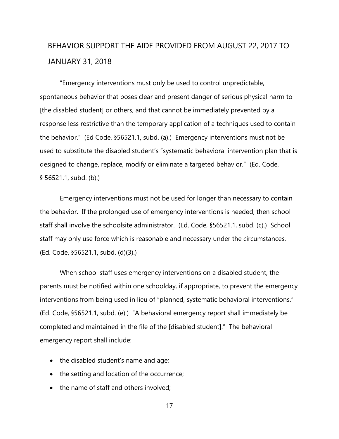# BEHAVIOR SUPPORT THE AIDE PROVIDED FROM AUGUST 22, 2017 TO JANUARY 31, 2018

"Emergency interventions must only be used to control unpredictable, spontaneous behavior that poses clear and present danger of serious physical harm to [the disabled student] or others, and that cannot be immediately prevented by a response less restrictive than the temporary application of a techniques used to contain the behavior." (Ed Code, §56521.1, subd. (a).) Emergency interventions must not be used to substitute the disabled student's "systematic behavioral intervention plan that is designed to change, replace, modify or eliminate a targeted behavior." (Ed. Code, § 56521.1, subd. (b).)

Emergency interventions must not be used for longer than necessary to contain the behavior. If the prolonged use of emergency interventions is needed, then school staff shall involve the schoolsite administrator. (Ed. Code, §56521.1, subd. (c).) School staff may only use force which is reasonable and necessary under the circumstances. (Ed. Code, §56521.1, subd. (d)(3).)

When school staff uses emergency interventions on a disabled student, the parents must be notified within one schoolday, if appropriate, to prevent the emergency interventions from being used in lieu of "planned, systematic behavioral interventions." (Ed. Code, §56521.1, subd. (e).) "A behavioral emergency report shall immediately be completed and maintained in the file of the [disabled student]." The behavioral emergency report shall include:

- the disabled student's name and age;
- the setting and location of the occurrence;
- the name of staff and others involved;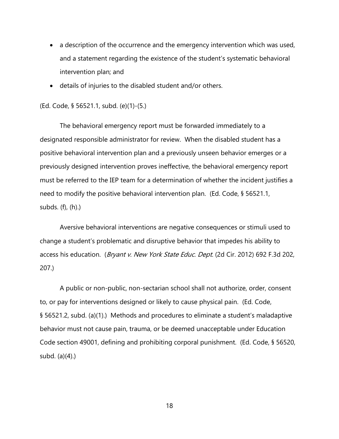- a description of the occurrence and the emergency intervention which was used, and a statement regarding the existence of the student's systematic behavioral intervention plan; and
- details of injuries to the disabled student and/or others.

(Ed. Code, § 56521.1, subd. (e)(1)-(5.)

The behavioral emergency report must be forwarded immediately to a designated responsible administrator for review. When the disabled student has a positive behavioral intervention plan and a previously unseen behavior emerges or a previously designed intervention proves ineffective, the behavioral emergency report must be referred to the IEP team for a determination of whether the incident justifies a need to modify the positive behavioral intervention plan. (Ed. Code, § 56521.1, subds. (f), (h).)

Aversive behavioral interventions are negative consequences or stimuli used to change a student's problematic and disruptive behavior that impedes his ability to access his education. (Bryant v. New York State Educ. Dept. (2d Cir. 2012) 692 F.3d 202, 207.)

A public or non-public, non-sectarian school shall not authorize, order, consent to, or pay for interventions designed or likely to cause physical pain. (Ed. Code, § 56521.2, subd. (a)(1).) Methods and procedures to eliminate a student's maladaptive behavior must not cause pain, trauma, or be deemed unacceptable under Education Code section 49001, defining and prohibiting corporal punishment. (Ed. Code, § 56520, subd. (a)(4).)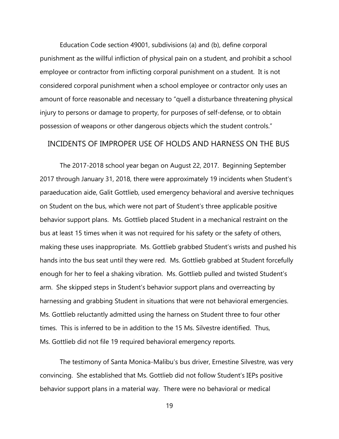Education Code section 49001, subdivisions (a) and (b), define corporal punishment as the willful infliction of physical pain on a student, and prohibit a school employee or contractor from inflicting corporal punishment on a student. It is not considered corporal punishment when a school employee or contractor only uses an amount of force reasonable and necessary to "quell a disturbance threatening physical injury to persons or damage to property, for purposes of self-defense, or to obtain possession of weapons or other dangerous objects which the student controls."

#### INCIDENTS OF IMPROPER USE OF HOLDS AND HARNESS ON THE BUS

The 2017-2018 school year began on August 22, 2017. Beginning September 2017 through January 31, 2018, there were approximately 19 incidents when Student's paraeducation aide, Galit Gottlieb, used emergency behavioral and aversive techniques on Student on the bus, which were not part of Student's three applicable positive behavior support plans. Ms. Gottlieb placed Student in a mechanical restraint on the bus at least 15 times when it was not required for his safety or the safety of others, making these uses inappropriate. Ms. Gottlieb grabbed Student's wrists and pushed his hands into the bus seat until they were red. Ms. Gottlieb grabbed at Student forcefully enough for her to feel a shaking vibration. Ms. Gottlieb pulled and twisted Student's arm. She skipped steps in Student's behavior support plans and overreacting by harnessing and grabbing Student in situations that were not behavioral emergencies. Ms. Gottlieb reluctantly admitted using the harness on Student three to four other times. This is inferred to be in addition to the 15 Ms. Silvestre identified. Thus, Ms. Gottlieb did not file 19 required behavioral emergency reports.

The testimony of Santa Monica-Malibu's bus driver, Ernestine Silvestre, was very convincing. She established that Ms. Gottlieb did not follow Student's IEPs positive behavior support plans in a material way. There were no behavioral or medical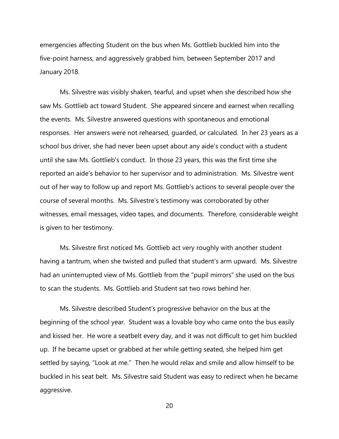emergencies affecting Student on the bus when Ms. Gottlieb buckled him into the five-point harness, and aggressively grabbed him, between September 2017 and January 2018.

Ms. Silvestre was visibly shaken, tearful, and upset when she described how she saw Ms. Gottlieb act toward Student. She appeared sincere and earnest when recalling the events. Ms. Silvestre answered questions with spontaneous and emotional responses. Her answers were not rehearsed, guarded, or calculated. In her 23 years as a school bus driver, she had never been upset about any aide's conduct with a student until she saw Ms. Gottlieb's conduct. In those 23 years, this was the first time she reported an aide's behavior to her supervisor and to administration. Ms. Silvestre went out of her way to follow up and report Ms. Gottlieb's actions to several people over the course of several months. Ms. Silvestre's testimony was corroborated by other witnesses, email messages, video tapes, and documents. Therefore, considerable weight is given to her testimony.

Ms. Silvestre first noticed Ms. Gottlieb act very roughly with another student having a tantrum, when she twisted and pulled that student's arm upward. Ms. Silvestre had an uninterrupted view of Ms. Gottlieb from the "pupil mirrors" she used on the bus to scan the students. Ms. Gottlieb and Student sat two rows behind her.

Ms. Silvestre described Student's progressive behavior on the bus at the beginning of the school year. Student was a lovable boy who came onto the bus easily and kissed her. He wore a seatbelt every day, and it was not difficult to get him buckled up. If he became upset or grabbed at her while getting seated, she helped him get settled by saying, "Look at me." Then he would relax and smile and allow himself to be buckled in his seat belt. Ms. Silvestre said Student was easy to redirect when he became aggressive.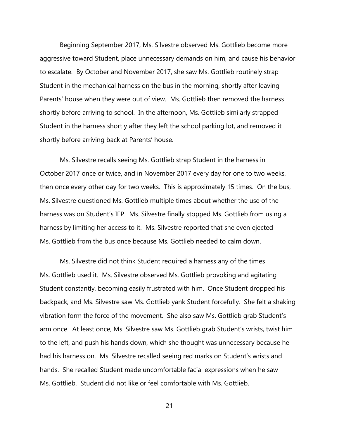Beginning September 2017, Ms. Silvestre observed Ms. Gottlieb become more aggressive toward Student, place unnecessary demands on him, and cause his behavior to escalate. By October and November 2017, she saw Ms. Gottlieb routinely strap Student in the mechanical harness on the bus in the morning, shortly after leaving Parents' house when they were out of view. Ms. Gottlieb then removed the harness shortly before arriving to school. In the afternoon, Ms. Gottlieb similarly strapped Student in the harness shortly after they left the school parking lot, and removed it shortly before arriving back at Parents' house.

Ms. Silvestre recalls seeing Ms. Gottlieb strap Student in the harness in October 2017 once or twice, and in November 2017 every day for one to two weeks, then once every other day for two weeks. This is approximately 15 times. On the bus, Ms. Silvestre questioned Ms. Gottlieb multiple times about whether the use of the harness was on Student's IEP. Ms. Silvestre finally stopped Ms. Gottlieb from using a harness by limiting her access to it. Ms. Silvestre reported that she even ejected Ms. Gottlieb from the bus once because Ms. Gottlieb needed to calm down.

Ms. Silvestre did not think Student required a harness any of the times Ms. Gottlieb used it. Ms. Silvestre observed Ms. Gottlieb provoking and agitating Student constantly, becoming easily frustrated with him. Once Student dropped his backpack, and Ms. Silvestre saw Ms. Gottlieb yank Student forcefully. She felt a shaking vibration form the force of the movement. She also saw Ms. Gottlieb grab Student's arm once. At least once, Ms. Silvestre saw Ms. Gottlieb grab Student's wrists, twist him to the left, and push his hands down, which she thought was unnecessary because he had his harness on. Ms. Silvestre recalled seeing red marks on Student's wrists and hands. She recalled Student made uncomfortable facial expressions when he saw Ms. Gottlieb. Student did not like or feel comfortable with Ms. Gottlieb.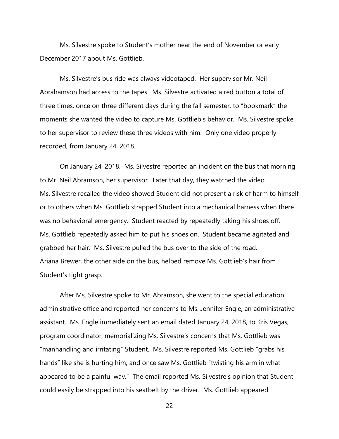Ms. Silvestre spoke to Student's mother near the end of November or early December 2017 about Ms. Gottlieb.

Ms. Silvestre's bus ride was always videotaped. Her supervisor Mr. Neil Abrahamson had access to the tapes. Ms. Silvestre activated a red button a total of three times, once on three different days during the fall semester, to "bookmark" the moments she wanted the video to capture Ms. Gottlieb's behavior. Ms. Silvestre spoke to her supervisor to review these three videos with him. Only one video properly recorded, from January 24, 2018.

On January 24, 2018. Ms. Silvestre reported an incident on the bus that morning to Mr. Neil Abramson, her supervisor. Later that day, they watched the video. Ms. Silvestre recalled the video showed Student did not present a risk of harm to himself or to others when Ms. Gottlieb strapped Student into a mechanical harness when there was no behavioral emergency. Student reacted by repeatedly taking his shoes off. Ms. Gottlieb repeatedly asked him to put his shoes on. Student became agitated and grabbed her hair. Ms. Silvestre pulled the bus over to the side of the road. Ariana Brewer, the other aide on the bus, helped remove Ms. Gottlieb's hair from Student's tight grasp.

After Ms. Silvestre spoke to Mr. Abramson, she went to the special education administrative office and reported her concerns to Ms. Jennifer Engle, an administrative assistant. Ms. Engle immediately sent an email dated January 24, 2018, to Kris Vegas, program coordinator, memorializing Ms. Silvestre's concerns that Ms. Gottlieb was "manhandling and irritating" Student. Ms. Silvestre reported Ms. Gottlieb "grabs his hands" like she is hurting him, and once saw Ms. Gottlieb "twisting his arm in what appeared to be a painful way." The email reported Ms. Silvestre's opinion that Student could easily be strapped into his seatbelt by the driver. Ms. Gottlieb appeared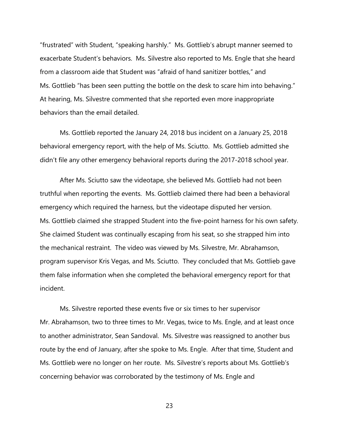"frustrated" with Student, "speaking harshly." Ms. Gottlieb's abrupt manner seemed to exacerbate Student's behaviors. Ms. Silvestre also reported to Ms. Engle that she heard from a classroom aide that Student was "afraid of hand sanitizer bottles," and Ms. Gottlieb "has been seen putting the bottle on the desk to scare him into behaving." At hearing, Ms. Silvestre commented that she reported even more inappropriate behaviors than the email detailed.

Ms. Gottlieb reported the January 24, 2018 bus incident on a January 25, 2018 behavioral emergency report, with the help of Ms. Sciutto. Ms. Gottlieb admitted she didn't file any other emergency behavioral reports during the 2017-2018 school year.

After Ms. Sciutto saw the videotape, she believed Ms. Gottlieb had not been truthful when reporting the events. Ms. Gottlieb claimed there had been a behavioral emergency which required the harness, but the videotape disputed her version. Ms. Gottlieb claimed she strapped Student into the five-point harness for his own safety. She claimed Student was continually escaping from his seat, so she strapped him into the mechanical restraint. The video was viewed by Ms. Silvestre, Mr. Abrahamson, program supervisor Kris Vegas, and Ms. Sciutto. They concluded that Ms. Gottlieb gave them false information when she completed the behavioral emergency report for that incident.

Ms. Silvestre reported these events five or six times to her supervisor Mr. Abrahamson, two to three times to Mr. Vegas, twice to Ms. Engle, and at least once to another administrator, Sean Sandoval. Ms. Silvestre was reassigned to another bus route by the end of January, after she spoke to Ms. Engle. After that time, Student and Ms. Gottlieb were no longer on her route. Ms. Silvestre's reports about Ms. Gottlieb's concerning behavior was corroborated by the testimony of Ms. Engle and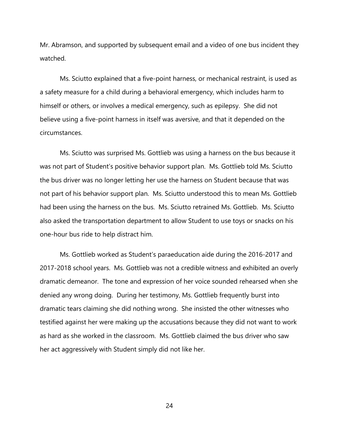Mr. Abramson, and supported by subsequent email and a video of one bus incident they watched.

Ms. Sciutto explained that a five-point harness, or mechanical restraint, is used as a safety measure for a child during a behavioral emergency, which includes harm to himself or others, or involves a medical emergency, such as epilepsy. She did not believe using a five-point harness in itself was aversive, and that it depended on the circumstances.

Ms. Sciutto was surprised Ms. Gottlieb was using a harness on the bus because it was not part of Student's positive behavior support plan. Ms. Gottlieb told Ms. Sciutto the bus driver was no longer letting her use the harness on Student because that was not part of his behavior support plan. Ms. Sciutto understood this to mean Ms. Gottlieb had been using the harness on the bus. Ms. Sciutto retrained Ms. Gottlieb. Ms. Sciutto also asked the transportation department to allow Student to use toys or snacks on his one-hour bus ride to help distract him.

Ms. Gottlieb worked as Student's paraeducation aide during the 2016-2017 and 2017-2018 school years. Ms. Gottlieb was not a credible witness and exhibited an overly dramatic demeanor. The tone and expression of her voice sounded rehearsed when she denied any wrong doing. During her testimony, Ms. Gottlieb frequently burst into dramatic tears claiming she did nothing wrong. She insisted the other witnesses who testified against her were making up the accusations because they did not want to work as hard as she worked in the classroom. Ms. Gottlieb claimed the bus driver who saw her act aggressively with Student simply did not like her.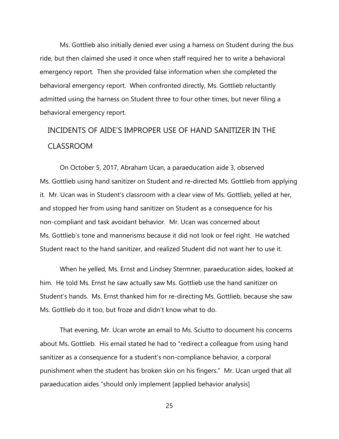Ms. Gottlieb also initially denied ever using a harness on Student during the bus ride, but then claimed she used it once when staff required her to write a behavioral emergency report. Then she provided false information when she completed the behavioral emergency report. When confronted directly, Ms. Gottlieb reluctantly admitted using the harness on Student three to four other times, but never filing a behavioral emergency report.

# INCIDENTS OF AIDE'S IMPROPER USE OF HAND SANITIZER IN THE CLASSROOM

On October 5, 2017, Abraham Ucan, a paraeducation aide 3, observed Ms. Gottlieb using hand sanitizer on Student and re-directed Ms. Gottlieb from applying it. Mr. Ucan was in Student's classroom with a clear view of Ms. Gottlieb, yelled at her, and stopped her from using hand sanitizer on Student as a consequence for his non-compliant and task avoidant behavior. Mr. Ucan was concerned about Ms. Gottlieb's tone and mannerisms because it did not look or feel right. He watched Student react to the hand sanitizer, and realized Student did not want her to use it.

When he yelled, Ms. Ernst and Lindsey Stermner, paraeducation aides, looked at him. He told Ms. Ernst he saw actually saw Ms. Gottlieb use the hand sanitizer on Student's hands. Ms. Ernst thanked him for re-directing Ms. Gottlieb, because she saw Ms. Gottlieb do it too, but froze and didn't know what to do.

That evening, Mr. Ucan wrote an email to Ms. Sciutto to document his concerns about Ms. Gottlieb. His email stated he had to "redirect a colleague from using hand sanitizer as a consequence for a student's non-compliance behavior, a corporal punishment when the student has broken skin on his fingers." Mr. Ucan urged that all paraeducation aides "should only implement [applied behavior analysis]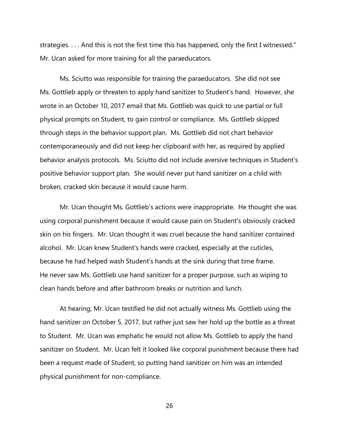strategies. . . . And this is not the first time this has happened, only the first I witnessed." Mr. Ucan asked for more training for all the paraeducators.

Ms. Sciutto was responsible for training the paraeducators. She did not see Ms. Gottlieb apply or threaten to apply hand sanitizer to Student's hand. However, she wrote in an October 10, 2017 email that Ms. Gottlieb was quick to use partial or full physical prompts on Student, to gain control or compliance. Ms. Gottlieb skipped through steps in the behavior support plan. Ms. Gottlieb did not chart behavior contemporaneously and did not keep her clipboard with her, as required by applied behavior analysis protocols. Ms. Sciutto did not include aversive techniques in Student's positive behavior support plan. She would never put hand sanitizer on a child with broken, cracked skin because it would cause harm.

Mr. Ucan thought Ms. Gottlieb's actions were inappropriate. He thought she was using corporal punishment because it would cause pain on Student's obviously cracked skin on his fingers. Mr. Ucan thought it was cruel because the hand sanitizer contained alcohol. Mr. Ucan knew Student's hands were cracked, especially at the cuticles, because he had helped wash Student's hands at the sink during that time frame. He never saw Ms. Gottlieb use hand sanitizer for a proper purpose, such as wiping to clean hands before and after bathroom breaks or nutrition and lunch.

At hearing, Mr. Ucan testified he did not actually witness Ms. Gottlieb using the hand sanitizer on October 5, 2017, but rather just saw her hold up the bottle as a threat to Student. Mr. Ucan was emphatic he would not allow Ms. Gottlieb to apply the hand sanitizer on Student. Mr. Ucan felt it looked like corporal punishment because there had been a request made of Student, so putting hand sanitizer on him was an intended physical punishment for non-compliance.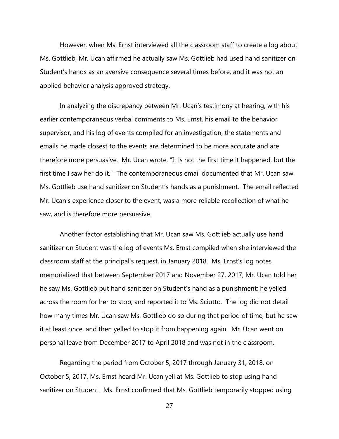However, when Ms. Ernst interviewed all the classroom staff to create a log about Ms. Gottlieb, Mr. Ucan affirmed he actually saw Ms. Gottlieb had used hand sanitizer on Student's hands as an aversive consequence several times before, and it was not an applied behavior analysis approved strategy.

In analyzing the discrepancy between Mr. Ucan's testimony at hearing, with his earlier contemporaneous verbal comments to Ms. Ernst, his email to the behavior supervisor, and his log of events compiled for an investigation, the statements and emails he made closest to the events are determined to be more accurate and are therefore more persuasive. Mr. Ucan wrote, "It is not the first time it happened, but the first time I saw her do it." The contemporaneous email documented that Mr. Ucan saw Ms. Gottlieb use hand sanitizer on Student's hands as a punishment. The email reflected Mr. Ucan's experience closer to the event, was a more reliable recollection of what he saw, and is therefore more persuasive.

Another factor establishing that Mr. Ucan saw Ms. Gottlieb actually use hand sanitizer on Student was the log of events Ms. Ernst compiled when she interviewed the classroom staff at the principal's request, in January 2018. Ms. Ernst's log notes memorialized that between September 2017 and November 27, 2017, Mr. Ucan told her he saw Ms. Gottlieb put hand sanitizer on Student's hand as a punishment; he yelled across the room for her to stop; and reported it to Ms. Sciutto. The log did not detail how many times Mr. Ucan saw Ms. Gottlieb do so during that period of time, but he saw it at least once, and then yelled to stop it from happening again. Mr. Ucan went on personal leave from December 2017 to April 2018 and was not in the classroom.

Regarding the period from October 5, 2017 through January 31, 2018, on October 5, 2017, Ms. Ernst heard Mr. Ucan yell at Ms. Gottlieb to stop using hand sanitizer on Student. Ms. Ernst confirmed that Ms. Gottlieb temporarily stopped using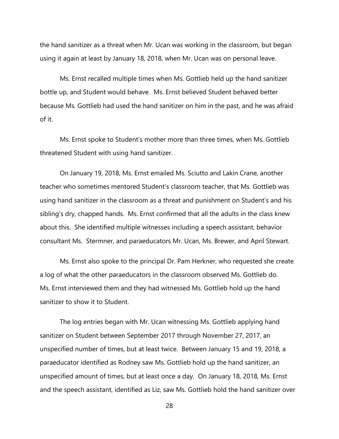the hand sanitizer as a threat when Mr. Ucan was working in the classroom, but began using it again at least by January 18, 2018, when Mr. Ucan was on personal leave.

Ms. Ernst recalled multiple times when Ms. Gottlieb held up the hand sanitizer bottle up, and Student would behave. Ms. Ernst believed Student behaved better because Ms. Gottlieb had used the hand sanitizer on him in the past, and he was afraid of it.

Ms. Ernst spoke to Student's mother more than three times, when Ms. Gottlieb threatened Student with using hand sanitizer.

On January 19, 2018, Ms. Ernst emailed Ms. Sciutto and Lakin Crane, another teacher who sometimes mentored Student's classroom teacher, that Ms. Gottlieb was using hand sanitizer in the classroom as a threat and punishment on Student's and his sibling's dry, chapped hands. Ms. Ernst confirmed that all the adults in the class knew about this. She identified multiple witnesses including a speech assistant, behavior consultant Ms. Stermner, and paraeducators Mr. Ucan, Ms. Brewer, and April Stewart.

Ms. Ernst also spoke to the principal Dr. Pam Herkner, who requested she create a log of what the other paraeducators in the classroom observed Ms. Gottlieb do. Ms. Ernst interviewed them and they had witnessed Ms. Gottlieb hold up the hand sanitizer to show it to Student.

The log entries began with Mr. Ucan witnessing Ms. Gottlieb applying hand sanitizer on Student between September 2017 through November 27, 2017, an unspecified number of times, but at least twice. Between January 15 and 19, 2018, a paraeducator identified as Rodney saw Ms. Gottlieb hold up the hand sanitizer, an unspecified amount of times, but at least once a day. On January 18, 2018, Ms. Ernst and the speech assistant, identified as Liz, saw Ms. Gottlieb hold the hand sanitizer over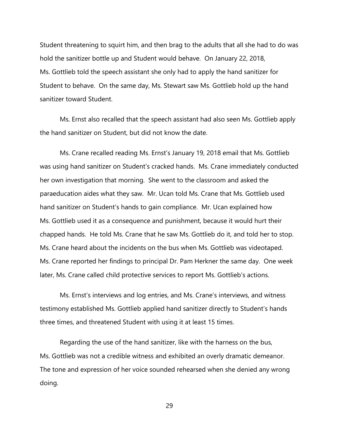Student threatening to squirt him, and then brag to the adults that all she had to do was hold the sanitizer bottle up and Student would behave. On January 22, 2018, Ms. Gottlieb told the speech assistant she only had to apply the hand sanitizer for Student to behave. On the same day, Ms. Stewart saw Ms. Gottlieb hold up the hand sanitizer toward Student.

Ms. Ernst also recalled that the speech assistant had also seen Ms. Gottlieb apply the hand sanitizer on Student, but did not know the date.

Ms. Crane recalled reading Ms. Ernst's January 19, 2018 email that Ms. Gottlieb was using hand sanitizer on Student's cracked hands. Ms. Crane immediately conducted her own investigation that morning. She went to the classroom and asked the paraeducation aides what they saw. Mr. Ucan told Ms. Crane that Ms. Gottlieb used hand sanitizer on Student's hands to gain compliance. Mr. Ucan explained how Ms. Gottlieb used it as a consequence and punishment, because it would hurt their chapped hands. He told Ms. Crane that he saw Ms. Gottlieb do it, and told her to stop. Ms. Crane heard about the incidents on the bus when Ms. Gottlieb was videotaped. Ms. Crane reported her findings to principal Dr. Pam Herkner the same day. One week later, Ms. Crane called child protective services to report Ms. Gottlieb's actions.

Ms. Ernst's interviews and log entries, and Ms. Crane's interviews, and witness testimony established Ms. Gottlieb applied hand sanitizer directly to Student's hands three times, and threatened Student with using it at least 15 times.

Regarding the use of the hand sanitizer, like with the harness on the bus, Ms. Gottlieb was not a credible witness and exhibited an overly dramatic demeanor. The tone and expression of her voice sounded rehearsed when she denied any wrong doing.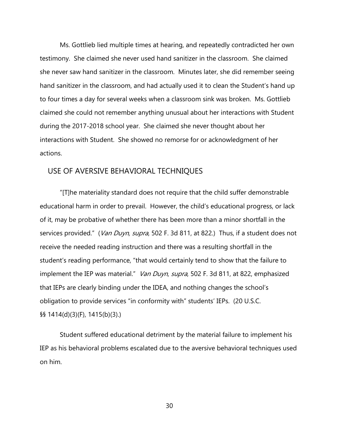Ms. Gottlieb lied multiple times at hearing, and repeatedly contradicted her own testimony. She claimed she never used hand sanitizer in the classroom. She claimed she never saw hand sanitizer in the classroom. Minutes later, she did remember seeing hand sanitizer in the classroom, and had actually used it to clean the Student's hand up to four times a day for several weeks when a classroom sink was broken. Ms. Gottlieb claimed she could not remember anything unusual about her interactions with Student during the 2017-2018 school year. She claimed she never thought about her interactions with Student. She showed no remorse for or acknowledgment of her actions.

### USE OF AVERSIVE BEHAVIORAL TECHNIQUES

"[T]he materiality standard does not require that the child suffer demonstrable educational harm in order to prevail. However, the child's educational progress, or lack of it, may be probative of whether there has been more than a minor shortfall in the services provided." (*Van Duyn, supra*, 502 F. 3d 811, at 822.) Thus, if a student does not receive the needed reading instruction and there was a resulting shortfall in the student's reading performance, "that would certainly tend to show that the failure to implement the IEP was material." Van Duyn, supra, 502 F. 3d 811, at 822, emphasized that IEPs are clearly binding under the IDEA, and nothing changes the school's obligation to provide services "in conformity with" students' IEPs. (20 U.S.C. §§ 1414(d)(3)(F), 1415(b)(3).)

Student suffered educational detriment by the material failure to implement his IEP as his behavioral problems escalated due to the aversive behavioral techniques used on him.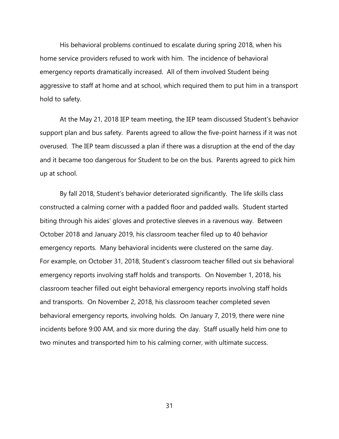His behavioral problems continued to escalate during spring 2018, when his home service providers refused to work with him. The incidence of behavioral emergency reports dramatically increased. All of them involved Student being aggressive to staff at home and at school, which required them to put him in a transport hold to safety.

At the May 21, 2018 IEP team meeting, the IEP team discussed Student's behavior support plan and bus safety. Parents agreed to allow the five-point harness if it was not overused. The IEP team discussed a plan if there was a disruption at the end of the day and it became too dangerous for Student to be on the bus. Parents agreed to pick him up at school.

By fall 2018, Student's behavior deteriorated significantly. The life skills class constructed a calming corner with a padded floor and padded walls. Student started biting through his aides' gloves and protective sleeves in a ravenous way. Between October 2018 and January 2019, his classroom teacher filed up to 40 behavior emergency reports. Many behavioral incidents were clustered on the same day. For example, on October 31, 2018, Student's classroom teacher filled out six behavioral emergency reports involving staff holds and transports. On November 1, 2018, his classroom teacher filled out eight behavioral emergency reports involving staff holds and transports. On November 2, 2018, his classroom teacher completed seven behavioral emergency reports, involving holds. On January 7, 2019, there were nine incidents before 9:00 AM, and six more during the day. Staff usually held him one to two minutes and transported him to his calming corner, with ultimate success.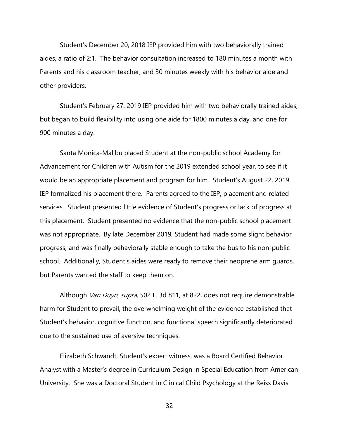Student's December 20, 2018 IEP provided him with two behaviorally trained aides, a ratio of 2:1. The behavior consultation increased to 180 minutes a month with Parents and his classroom teacher, and 30 minutes weekly with his behavior aide and other providers.

Student's February 27, 2019 IEP provided him with two behaviorally trained aides, but began to build flexibility into using one aide for 1800 minutes a day, and one for 900 minutes a day.

Santa Monica-Malibu placed Student at the non-public school Academy for Advancement for Children with Autism for the 2019 extended school year, to see if it would be an appropriate placement and program for him. Student's August 22, 2019 IEP formalized his placement there. Parents agreed to the IEP, placement and related services. Student presented little evidence of Student's progress or lack of progress at this placement. Student presented no evidence that the non-public school placement was not appropriate. By late December 2019, Student had made some slight behavior progress, and was finally behaviorally stable enough to take the bus to his non-public school. Additionally, Student's aides were ready to remove their neoprene arm guards, but Parents wanted the staff to keep them on.

Although *Van Duyn, supra*, 502 F. 3d 811, at 822, does not require demonstrable harm for Student to prevail, the overwhelming weight of the evidence established that Student's behavior, cognitive function, and functional speech significantly deteriorated due to the sustained use of aversive techniques.

Elizabeth Schwandt, Student's expert witness, was a Board Certified Behavior Analyst with a Master's degree in Curriculum Design in Special Education from American University. She was a Doctoral Student in Clinical Child Psychology at the Reiss Davis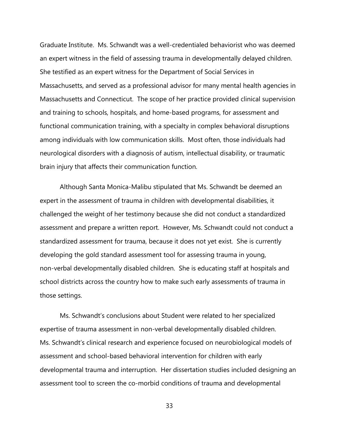Graduate Institute. Ms. Schwandt was a well-credentialed behaviorist who was deemed an expert witness in the field of assessing trauma in developmentally delayed children. She testified as an expert witness for the Department of Social Services in Massachusetts, and served as a professional advisor for many mental health agencies in Massachusetts and Connecticut. The scope of her practice provided clinical supervision and training to schools, hospitals, and home-based programs, for assessment and functional communication training, with a specialty in complex behavioral disruptions among individuals with low communication skills. Most often, those individuals had neurological disorders with a diagnosis of autism, intellectual disability, or traumatic brain injury that affects their communication function.

Although Santa Monica-Malibu stipulated that Ms. Schwandt be deemed an expert in the assessment of trauma in children with developmental disabilities, it challenged the weight of her testimony because she did not conduct a standardized assessment and prepare a written report. However, Ms. Schwandt could not conduct a standardized assessment for trauma, because it does not yet exist. She is currently developing the gold standard assessment tool for assessing trauma in young, non-verbal developmentally disabled children. She is educating staff at hospitals and school districts across the country how to make such early assessments of trauma in those settings.

Ms. Schwandt's conclusions about Student were related to her specialized expertise of trauma assessment in non-verbal developmentally disabled children. Ms. Schwandt's clinical research and experience focused on neurobiological models of assessment and school-based behavioral intervention for children with early developmental trauma and interruption. Her dissertation studies included designing an assessment tool to screen the co-morbid conditions of trauma and developmental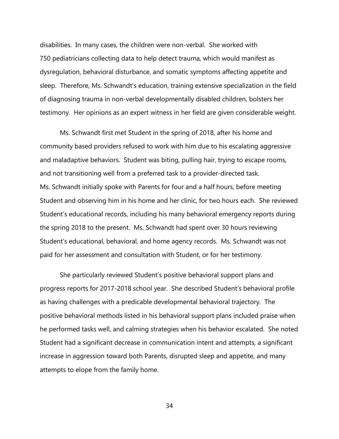disabilities. In many cases, the children were non-verbal. She worked with 750 pediatricians collecting data to help detect trauma, which would manifest as dysregulation, behavioral disturbance, and somatic symptoms affecting appetite and sleep. Therefore, Ms. Schwandt's education, training extensive specialization in the field of diagnosing trauma in non-verbal developmentally disabled children, bolsters her testimony. Her opinions as an expert witness in her field are given considerable weight.

Ms. Schwandt first met Student in the spring of 2018, after his home and community based providers refused to work with him due to his escalating aggressive and maladaptive behaviors. Student was biting, pulling hair, trying to escape rooms, and not transitioning well from a preferred task to a provider-directed task. Ms. Schwandt initially spoke with Parents for four and a half hours, before meeting Student and observing him in his home and her clinic, for two hours each. She reviewed Student's educational records, including his many behavioral emergency reports during the spring 2018 to the present. Ms. Schwandt had spent over 30 hours reviewing Student's educational, behavioral, and home agency records. Ms. Schwandt was not paid for her assessment and consultation with Student, or for her testimony.

She particularly reviewed Student's positive behavioral support plans and progress reports for 2017-2018 school year. She described Student's behavioral profile as having challenges with a predicable developmental behavioral trajectory. The positive behavioral methods listed in his behavioral support plans included praise when he performed tasks well, and calming strategies when his behavior escalated. She noted Student had a significant decrease in communication intent and attempts, a significant increase in aggression toward both Parents, disrupted sleep and appetite, and many attempts to elope from the family home.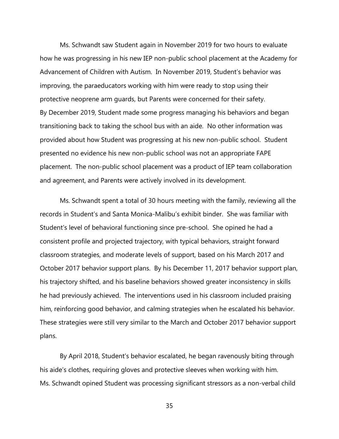Ms. Schwandt saw Student again in November 2019 for two hours to evaluate how he was progressing in his new IEP non-public school placement at the Academy for Advancement of Children with Autism. In November 2019, Student's behavior was improving, the paraeducators working with him were ready to stop using their protective neoprene arm guards, but Parents were concerned for their safety. By December 2019, Student made some progress managing his behaviors and began transitioning back to taking the school bus with an aide. No other information was provided about how Student was progressing at his new non-public school. Student presented no evidence his new non-public school was not an appropriate FAPE placement. The non-public school placement was a product of IEP team collaboration and agreement, and Parents were actively involved in its development.

Ms. Schwandt spent a total of 30 hours meeting with the family, reviewing all the records in Student's and Santa Monica-Malibu's exhibit binder. She was familiar with Student's level of behavioral functioning since pre-school. She opined he had a consistent profile and projected trajectory, with typical behaviors, straight forward classroom strategies, and moderate levels of support, based on his March 2017 and October 2017 behavior support plans. By his December 11, 2017 behavior support plan, his trajectory shifted, and his baseline behaviors showed greater inconsistency in skills he had previously achieved. The interventions used in his classroom included praising him, reinforcing good behavior, and calming strategies when he escalated his behavior. These strategies were still very similar to the March and October 2017 behavior support plans.

By April 2018, Student's behavior escalated, he began ravenously biting through his aide's clothes, requiring gloves and protective sleeves when working with him. Ms. Schwandt opined Student was processing significant stressors as a non-verbal child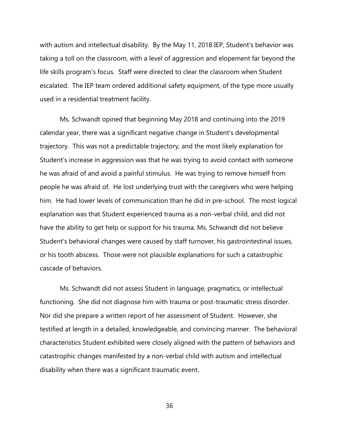with autism and intellectual disability. By the May 11, 2018 IEP, Student's behavior was taking a toll on the classroom, with a level of aggression and elopement far beyond the life skills program's focus. Staff were directed to clear the classroom when Student escalated. The IEP team ordered additional safety equipment, of the type more usually used in a residential treatment facility.

Ms. Schwandt opined that beginning May 2018 and continuing into the 2019 calendar year, there was a significant negative change in Student's developmental trajectory. This was not a predictable trajectory, and the most likely explanation for Student's increase in aggression was that he was trying to avoid contact with someone he was afraid of and avoid a painful stimulus. He was trying to remove himself from people he was afraid of. He lost underlying trust with the caregivers who were helping him. He had lower levels of communication than he did in pre-school. The most logical explanation was that Student experienced trauma as a non-verbal child, and did not have the ability to get help or support for his trauma. Ms. Schwandt did not believe Student's behavioral changes were caused by staff turnover, his gastrointestinal issues, or his tooth abscess. Those were not plausible explanations for such a catastrophic cascade of behaviors.

Ms. Schwandt did not assess Student in language, pragmatics, or intellectual functioning. She did not diagnose him with trauma or post-traumatic stress disorder. Nor did she prepare a written report of her assessment of Student. However, she testified at length in a detailed, knowledgeable, and convincing manner. The behavioral characteristics Student exhibited were closely aligned with the pattern of behaviors and catastrophic changes manifested by a non-verbal child with autism and intellectual disability when there was a significant traumatic event.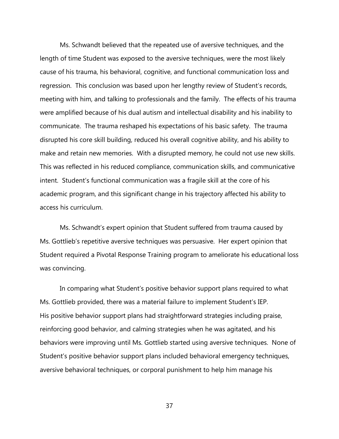Ms. Schwandt believed that the repeated use of aversive techniques, and the length of time Student was exposed to the aversive techniques, were the most likely cause of his trauma, his behavioral, cognitive, and functional communication loss and regression. This conclusion was based upon her lengthy review of Student's records, meeting with him, and talking to professionals and the family. The effects of his trauma were amplified because of his dual autism and intellectual disability and his inability to communicate. The trauma reshaped his expectations of his basic safety. The trauma disrupted his core skill building, reduced his overall cognitive ability, and his ability to make and retain new memories. With a disrupted memory, he could not use new skills. This was reflected in his reduced compliance, communication skills, and communicative intent. Student's functional communication was a fragile skill at the core of his academic program, and this significant change in his trajectory affected his ability to access his curriculum.

Ms. Schwandt's expert opinion that Student suffered from trauma caused by Ms. Gottlieb's repetitive aversive techniques was persuasive. Her expert opinion that Student required a Pivotal Response Training program to ameliorate his educational loss was convincing.

In comparing what Student's positive behavior support plans required to what Ms. Gottlieb provided, there was a material failure to implement Student's IEP. His positive behavior support plans had straightforward strategies including praise, reinforcing good behavior, and calming strategies when he was agitated, and his behaviors were improving until Ms. Gottlieb started using aversive techniques. None of Student's positive behavior support plans included behavioral emergency techniques, aversive behavioral techniques, or corporal punishment to help him manage his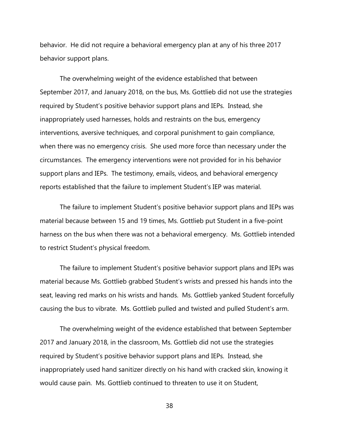behavior. He did not require a behavioral emergency plan at any of his three 2017 behavior support plans.

The overwhelming weight of the evidence established that between September 2017, and January 2018, on the bus, Ms. Gottlieb did not use the strategies required by Student's positive behavior support plans and IEPs. Instead, she inappropriately used harnesses, holds and restraints on the bus, emergency interventions, aversive techniques, and corporal punishment to gain compliance, when there was no emergency crisis. She used more force than necessary under the circumstances. The emergency interventions were not provided for in his behavior support plans and IEPs. The testimony, emails, videos, and behavioral emergency reports established that the failure to implement Student's IEP was material.

The failure to implement Student's positive behavior support plans and IEPs was material because between 15 and 19 times, Ms. Gottlieb put Student in a five-point harness on the bus when there was not a behavioral emergency. Ms. Gottlieb intended to restrict Student's physical freedom.

The failure to implement Student's positive behavior support plans and IEPs was material because Ms. Gottlieb grabbed Student's wrists and pressed his hands into the seat, leaving red marks on his wrists and hands. Ms. Gottlieb yanked Student forcefully causing the bus to vibrate. Ms. Gottlieb pulled and twisted and pulled Student's arm.

The overwhelming weight of the evidence established that between September 2017 and January 2018, in the classroom, Ms. Gottlieb did not use the strategies required by Student's positive behavior support plans and IEPs. Instead, she inappropriately used hand sanitizer directly on his hand with cracked skin, knowing it would cause pain. Ms. Gottlieb continued to threaten to use it on Student,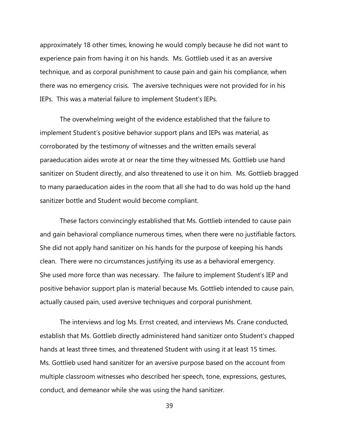approximately 18 other times, knowing he would comply because he did not want to experience pain from having it on his hands. Ms. Gottlieb used it as an aversive technique, and as corporal punishment to cause pain and gain his compliance, when there was no emergency crisis. The aversive techniques were not provided for in his IEPs. This was a material failure to implement Student's IEPs.

The overwhelming weight of the evidence established that the failure to implement Student's positive behavior support plans and IEPs was material, as corroborated by the testimony of witnesses and the written emails several paraeducation aides wrote at or near the time they witnessed Ms. Gottlieb use hand sanitizer on Student directly, and also threatened to use it on him. Ms. Gottlieb bragged to many paraeducation aides in the room that all she had to do was hold up the hand sanitizer bottle and Student would become compliant.

These factors convincingly established that Ms. Gottlieb intended to cause pain and gain behavioral compliance numerous times, when there were no justifiable factors. She did not apply hand sanitizer on his hands for the purpose of keeping his hands clean. There were no circumstances justifying its use as a behavioral emergency. She used more force than was necessary. The failure to implement Student's IEP and positive behavior support plan is material because Ms. Gottlieb intended to cause pain, actually caused pain, used aversive techniques and corporal punishment.

The interviews and log Ms. Ernst created, and interviews Ms. Crane conducted, establish that Ms. Gottlieb directly administered hand sanitizer onto Student's chapped hands at least three times, and threatened Student with using it at least 15 times. Ms. Gottlieb used hand sanitizer for an aversive purpose based on the account from multiple classroom witnesses who described her speech, tone, expressions, gestures, conduct, and demeanor while she was using the hand sanitizer.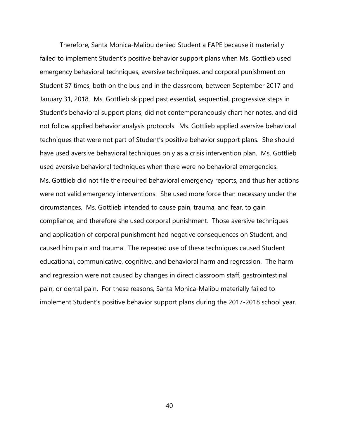Therefore, Santa Monica-Malibu denied Student a FAPE because it materially failed to implement Student's positive behavior support plans when Ms. Gottlieb used emergency behavioral techniques, aversive techniques, and corporal punishment on Student 37 times, both on the bus and in the classroom, between September 2017 and January 31, 2018. Ms. Gottlieb skipped past essential, sequential, progressive steps in Student's behavioral support plans, did not contemporaneously chart her notes, and did not follow applied behavior analysis protocols. Ms. Gottlieb applied aversive behavioral techniques that were not part of Student's positive behavior support plans. She should have used aversive behavioral techniques only as a crisis intervention plan. Ms. Gottlieb used aversive behavioral techniques when there were no behavioral emergencies. Ms. Gottlieb did not file the required behavioral emergency reports, and thus her actions were not valid emergency interventions. She used more force than necessary under the circumstances. Ms. Gottlieb intended to cause pain, trauma, and fear, to gain compliance, and therefore she used corporal punishment. Those aversive techniques and application of corporal punishment had negative consequences on Student, and caused him pain and trauma. The repeated use of these techniques caused Student educational, communicative, cognitive, and behavioral harm and regression. The harm and regression were not caused by changes in direct classroom staff, gastrointestinal pain, or dental pain. For these reasons, Santa Monica-Malibu materially failed to implement Student's positive behavior support plans during the 2017-2018 school year.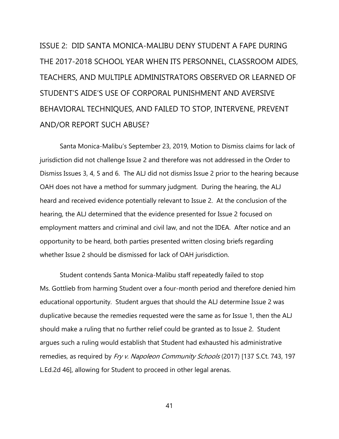ISSUE 2: DID SANTA MONICA-MALIBU DENY STUDENT A FAPE DURING THE 2017-2018 SCHOOL YEAR WHEN ITS PERSONNEL, CLASSROOM AIDES, TEACHERS, AND MULTIPLE ADMINISTRATORS OBSERVED OR LEARNED OF STUDENT'S AIDE'S USE OF CORPORAL PUNISHMENT AND AVERSIVE BEHAVIORAL TECHNIQUES, AND FAILED TO STOP, INTERVENE, PREVENT AND/OR REPORT SUCH ABUSE?

Santa Monica-Malibu's September 23, 2019, Motion to Dismiss claims for lack of jurisdiction did not challenge Issue 2 and therefore was not addressed in the Order to Dismiss Issues 3, 4, 5 and 6. The ALJ did not dismiss Issue 2 prior to the hearing because OAH does not have a method for summary judgment. During the hearing, the ALJ heard and received evidence potentially relevant to Issue 2. At the conclusion of the hearing, the ALJ determined that the evidence presented for Issue 2 focused on employment matters and criminal and civil law, and not the IDEA. After notice and an opportunity to be heard, both parties presented written closing briefs regarding whether Issue 2 should be dismissed for lack of OAH jurisdiction.

Student contends Santa Monica-Malibu staff repeatedly failed to stop Ms. Gottlieb from harming Student over a four-month period and therefore denied him educational opportunity. Student argues that should the ALJ determine Issue 2 was duplicative because the remedies requested were the same as for Issue 1, then the ALJ should make a ruling that no further relief could be granted as to Issue 2. Student argues such a ruling would establish that Student had exhausted his administrative remedies, as required by Fry v. Napoleon Community Schools (2017) [137 S.Ct. 743, 197 L.Ed.2d 46], allowing for Student to proceed in other legal arenas.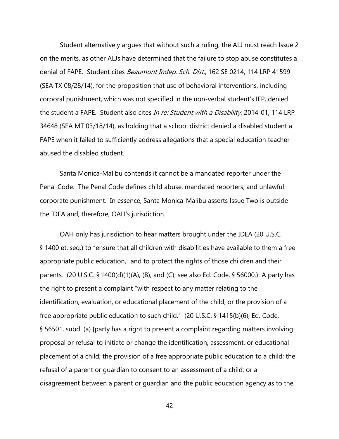Student alternatively argues that without such a ruling, the ALJ must reach Issue 2 on the merits, as other ALJs have determined that the failure to stop abuse constitutes a denial of FAPE. Student cites *Beaumont Indep. Sch. Dist.*, 162 SE 0214, 114 LRP 41599 (SEA TX 08/28/14), for the proposition that use of behavioral interventions, including corporal punishment, which was not specified in the non-verbal student's IEP, denied the student a FAPE. Student also cites In re: Student with a Disability, 2014-01, 114 LRP 34648 (SEA MT 03/18/14), as holding that a school district denied a disabled student a FAPE when it failed to sufficiently address allegations that a special education teacher abused the disabled student.

Santa Monica-Malibu contends it cannot be a mandated reporter under the Penal Code. The Penal Code defines child abuse, mandated reporters, and unlawful corporate punishment. In essence, Santa Monica-Malibu asserts Issue Two is outside the IDEA and, therefore, OAH's jurisdiction.

OAH only has jurisdiction to hear matters brought under the IDEA (20 U.S.C. § 1400 et. seq.) to "ensure that all children with disabilities have available to them a free appropriate public education," and to protect the rights of those children and their parents. (20 U.S.C. § 1400(d)(1)(A), (B), and (C); see also Ed. Code, § 56000.) A party has the right to present a complaint "with respect to any matter relating to the identification, evaluation, or educational placement of the child, or the provision of a free appropriate public education to such child." (20 U.S.C. § 1415(b)(6); Ed. Code, § 56501, subd. (a) [party has a right to present a complaint regarding matters involving proposal or refusal to initiate or change the identification, assessment, or educational placement of a child; the provision of a free appropriate public education to a child; the refusal of a parent or guardian to consent to an assessment of a child; or a disagreement between a parent or guardian and the public education agency as to the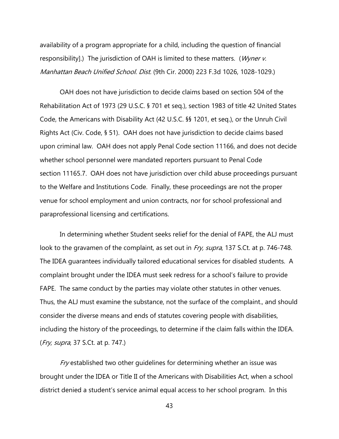availability of a program appropriate for a child, including the question of financial responsibility].) The jurisdiction of OAH is limited to these matters. (Wyner v. Manhattan Beach Unified School. Dist. (9th Cir. 2000) 223 F.3d 1026, 1028-1029.)

OAH does not have jurisdiction to decide claims based on section 504 of the Rehabilitation Act of 1973 (29 U.S.C. § 701 et seq.), section 1983 of title 42 United States Code, the Americans with Disability Act (42 U.S.C. §§ 1201, et seq.), or the Unruh Civil Rights Act (Civ. Code, § 51). OAH does not have jurisdiction to decide claims based upon criminal law. OAH does not apply Penal Code section 11166, and does not decide whether school personnel were mandated reporters pursuant to Penal Code section 11165.7. OAH does not have jurisdiction over child abuse proceedings pursuant to the Welfare and Institutions Code. Finally, these proceedings are not the proper venue for school employment and union contracts, nor for school professional and paraprofessional licensing and certifications.

In determining whether Student seeks relief for the denial of FAPE, the ALJ must look to the gravamen of the complaint, as set out in Fry, supra, 137 S.Ct. at p. 746-748. The IDEA guarantees individually tailored educational services for disabled students. A complaint brought under the IDEA must seek redress for a school's failure to provide FAPE. The same conduct by the parties may violate other statutes in other venues. Thus, the ALJ must examine the substance, not the surface of the complaint., and should consider the diverse means and ends of statutes covering people with disabilities, including the history of the proceedings, to determine if the claim falls within the IDEA. (Fry, supra, 37 S.Ct. at p. 747.)

Fry established two other quidelines for determining whether an issue was brought under the IDEA or Title II of the Americans with Disabilities Act, when a school district denied a student's service animal equal access to her school program. In this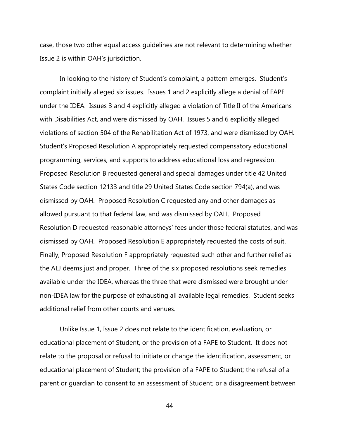case, those two other equal access guidelines are not relevant to determining whether Issue 2 is within OAH's jurisdiction.

In looking to the history of Student's complaint, a pattern emerges. Student's complaint initially alleged six issues. Issues 1 and 2 explicitly allege a denial of FAPE under the IDEA. Issues 3 and 4 explicitly alleged a violation of Title II of the Americans with Disabilities Act, and were dismissed by OAH. Issues 5 and 6 explicitly alleged violations of section 504 of the Rehabilitation Act of 1973, and were dismissed by OAH. Student's Proposed Resolution A appropriately requested compensatory educational programming, services, and supports to address educational loss and regression. Proposed Resolution B requested general and special damages under title 42 United States Code section 12133 and title 29 United States Code section 794(a), and was dismissed by OAH. Proposed Resolution C requested any and other damages as allowed pursuant to that federal law, and was dismissed by OAH. Proposed Resolution D requested reasonable attorneys' fees under those federal statutes, and was dismissed by OAH. Proposed Resolution E appropriately requested the costs of suit. Finally, Proposed Resolution F appropriately requested such other and further relief as the ALJ deems just and proper. Three of the six proposed resolutions seek remedies available under the IDEA, whereas the three that were dismissed were brought under non-IDEA law for the purpose of exhausting all available legal remedies. Student seeks additional relief from other courts and venues.

Unlike Issue 1, Issue 2 does not relate to the identification, evaluation, or educational placement of Student, or the provision of a FAPE to Student. It does not relate to the proposal or refusal to initiate or change the identification, assessment, or educational placement of Student; the provision of a FAPE to Student; the refusal of a parent or guardian to consent to an assessment of Student; or a disagreement between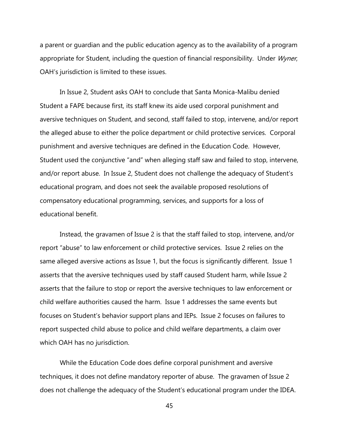a parent or guardian and the public education agency as to the availability of a program appropriate for Student, including the question of financial responsibility. Under Wyner, OAH's jurisdiction is limited to these issues.

In Issue 2, Student asks OAH to conclude that Santa Monica-Malibu denied Student a FAPE because first, its staff knew its aide used corporal punishment and aversive techniques on Student, and second, staff failed to stop, intervene, and/or report the alleged abuse to either the police department or child protective services. Corporal punishment and aversive techniques are defined in the Education Code. However, Student used the conjunctive "and" when alleging staff saw and failed to stop, intervene, and/or report abuse. In Issue 2, Student does not challenge the adequacy of Student's educational program, and does not seek the available proposed resolutions of compensatory educational programming, services, and supports for a loss of educational benefit.

Instead, the gravamen of Issue 2 is that the staff failed to stop, intervene, and/or report "abuse" to law enforcement or child protective services. Issue 2 relies on the same alleged aversive actions as Issue 1, but the focus is significantly different. Issue 1 asserts that the aversive techniques used by staff caused Student harm, while Issue 2 asserts that the failure to stop or report the aversive techniques to law enforcement or child welfare authorities caused the harm. Issue 1 addresses the same events but focuses on Student's behavior support plans and IEPs. Issue 2 focuses on failures to report suspected child abuse to police and child welfare departments, a claim over which OAH has no jurisdiction.

While the Education Code does define corporal punishment and aversive techniques, it does not define mandatory reporter of abuse. The gravamen of Issue 2 does not challenge the adequacy of the Student's educational program under the IDEA.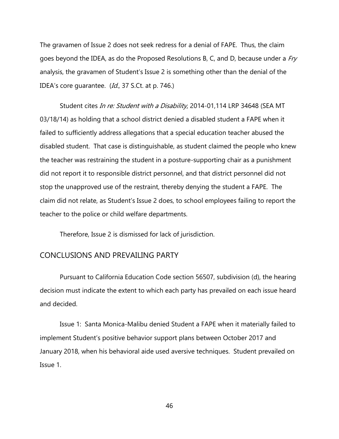The gravamen of Issue 2 does not seek redress for a denial of FAPE. Thus, the claim goes beyond the IDEA, as do the Proposed Resolutions B, C, and D, because under a  $Fry$ analysis, the gravamen of Student's Issue 2 is something other than the denial of the IDEA's core quarantee. (Id., 37 S.Ct. at p. 746.)

Student cites In re: Student with a Disability, 2014-01,114 LRP 34648 (SEA MT 03/18/14) as holding that a school district denied a disabled student a FAPE when it failed to sufficiently address allegations that a special education teacher abused the disabled student. That case is distinguishable, as student claimed the people who knew the teacher was restraining the student in a posture-supporting chair as a punishment did not report it to responsible district personnel, and that district personnel did not stop the unapproved use of the restraint, thereby denying the student a FAPE. The claim did not relate, as Student's Issue 2 does, to school employees failing to report the teacher to the police or child welfare departments.

Therefore, Issue 2 is dismissed for lack of jurisdiction.

#### CONCLUSIONS AND PREVAILING PARTY

Pursuant to California Education Code section 56507, subdivision (d), the hearing decision must indicate the extent to which each party has prevailed on each issue heard and decided.

Issue 1: Santa Monica-Malibu denied Student a FAPE when it materially failed to implement Student's positive behavior support plans between October 2017 and January 2018, when his behavioral aide used aversive techniques. Student prevailed on Issue 1.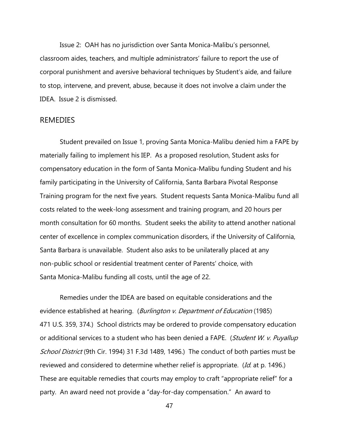Issue 2: OAH has no jurisdiction over Santa Monica-Malibu's personnel, classroom aides, teachers, and multiple administrators' failure to report the use of corporal punishment and aversive behavioral techniques by Student's aide, and failure to stop, intervene, and prevent, abuse, because it does not involve a claim under the IDEA. Issue 2 is dismissed.

#### REMEDIES

Student prevailed on Issue 1, proving Santa Monica-Malibu denied him a FAPE by materially failing to implement his IEP. As a proposed resolution, Student asks for compensatory education in the form of Santa Monica-Malibu funding Student and his family participating in the University of California, Santa Barbara Pivotal Response Training program for the next five years. Student requests Santa Monica-Malibu fund all costs related to the week-long assessment and training program, and 20 hours per month consultation for 60 months. Student seeks the ability to attend another national center of excellence in complex communication disorders, if the University of California, Santa Barbara is unavailable. Student also asks to be unilaterally placed at any non-public school or residential treatment center of Parents' choice, with Santa Monica-Malibu funding all costs, until the age of 22.

Remedies under the IDEA are based on equitable considerations and the evidence established at hearing. (Burlington v. Department of Education (1985) 471 U.S. 359, 374.) School districts may be ordered to provide compensatory education or additional services to a student who has been denied a FAPE. (Student W. v. Puyallup School District (9th Cir. 1994) 31 F.3d 1489, 1496.) The conduct of both parties must be reviewed and considered to determine whether relief is appropriate. (Id. at p. 1496.) These are equitable remedies that courts may employ to craft "appropriate relief" for a party. An award need not provide a "day-for-day compensation." An award to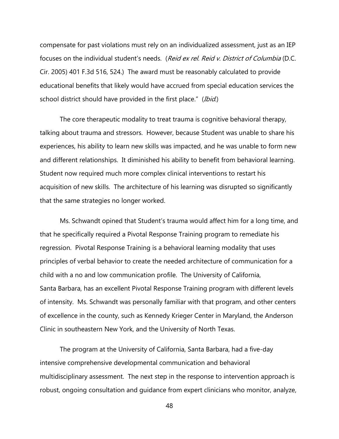compensate for past violations must rely on an individualized assessment, just as an IEP focuses on the individual student's needs. (Reid ex rel. Reid v. District of Columbia (D.C. Cir. 2005) 401 F.3d 516, 524.) The award must be reasonably calculated to provide educational benefits that likely would have accrued from special education services the school district should have provided in the first place." (Ibid.)

The core therapeutic modality to treat trauma is cognitive behavioral therapy, talking about trauma and stressors. However, because Student was unable to share his experiences, his ability to learn new skills was impacted, and he was unable to form new and different relationships. It diminished his ability to benefit from behavioral learning. Student now required much more complex clinical interventions to restart his acquisition of new skills. The architecture of his learning was disrupted so significantly that the same strategies no longer worked.

Ms. Schwandt opined that Student's trauma would affect him for a long time, and that he specifically required a Pivotal Response Training program to remediate his regression. Pivotal Response Training is a behavioral learning modality that uses principles of verbal behavior to create the needed architecture of communication for a child with a no and low communication profile. The University of California, Santa Barbara, has an excellent Pivotal Response Training program with different levels of intensity. Ms. Schwandt was personally familiar with that program, and other centers of excellence in the county, such as Kennedy Krieger Center in Maryland, the Anderson Clinic in southeastern New York, and the University of North Texas.

The program at the University of California, Santa Barbara, had a five-day intensive comprehensive developmental communication and behavioral multidisciplinary assessment. The next step in the response to intervention approach is robust, ongoing consultation and guidance from expert clinicians who monitor, analyze,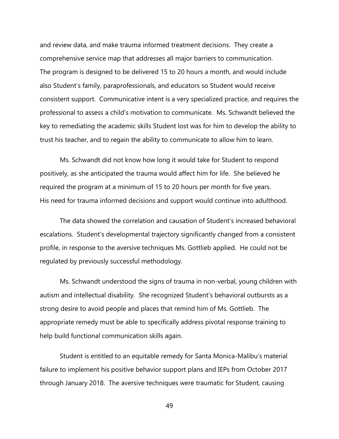and review data, and make trauma informed treatment decisions. They create a comprehensive service map that addresses all major barriers to communication. The program is designed to be delivered 15 to 20 hours a month, and would include also Student's family, paraprofessionals, and educators so Student would receive consistent support. Communicative intent is a very specialized practice, and requires the professional to assess a child's motivation to communicate. Ms. Schwandt believed the key to remediating the academic skills Student lost was for him to develop the ability to trust his teacher, and to regain the ability to communicate to allow him to learn.

Ms. Schwandt did not know how long it would take for Student to respond positively, as she anticipated the trauma would affect him for life. She believed he required the program at a minimum of 15 to 20 hours per month for five years. His need for trauma informed decisions and support would continue into adulthood.

The data showed the correlation and causation of Student's increased behavioral escalations. Student's developmental trajectory significantly changed from a consistent profile, in response to the aversive techniques Ms. Gottlieb applied. He could not be regulated by previously successful methodology.

Ms. Schwandt understood the signs of trauma in non-verbal, young children with autism and intellectual disability. She recognized Student's behavioral outbursts as a strong desire to avoid people and places that remind him of Ms. Gottlieb. The appropriate remedy must be able to specifically address pivotal response training to help build functional communication skills again.

Student is entitled to an equitable remedy for Santa Monica-Malibu's material failure to implement his positive behavior support plans and IEPs from October 2017 through January 2018. The aversive techniques were traumatic for Student, causing